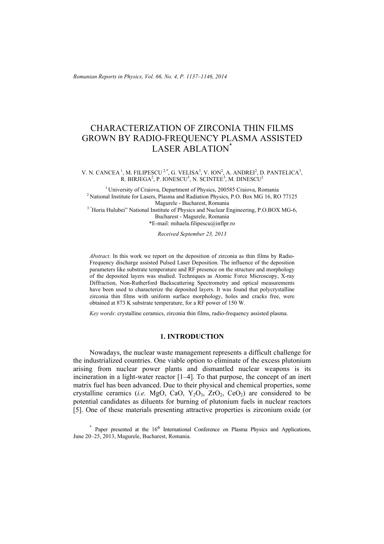*Romanian Reports in Physics, Vol. 66, No. 4, P. 1137–1146, 2014*

# CHARACTERIZATION OF ZIRCONIA THIN FILMS GROWN BY RADIO-FREQUENCY PLASMA ASSISTED LASER ABLATION\*

#### V. N. CANCEA<sup>1</sup>, M. FILIPESCU<sup>2,\*</sup>, G. VELISA<sup>3</sup>, V. ION<sup>2</sup>, A. ANDREI<sup>2</sup>, D. PANTELICA<sup>3</sup>, R. BIRJEGA<sup>2</sup>, P. IONESCU<sup>3</sup>, N. SCINTEE<sup>3</sup>, M. DINESCU<sup>2</sup>

<sup>1</sup> University of Craiova, Department of Physics, 200585 Craiova, Romania <sup>2</sup> National Institute for Lasers, Plasma and Radiation Physics, P.O. Box MG 16, RO 77125 Magurele - Bucharest. Romania <sup>3</sup> "Horia Hulubei" National Institute of Physics and Nuclear Engineering, P.O.BOX MG-6, Bucharest - Magurele, Romania \*E-mail: mihaela.filipescu@inflpr.ro

*Received September 23, 2013* 

*Abstract*. In this work we report on the deposition of zirconia as thin films by Radio-Frequency discharge assisted Pulsed Laser Deposition. The influence of the deposition parameters like substrate temperature and RF presence on the structure and morphology of the deposited layers was studied. Techniques as Atomic Force Microscopy, X-ray Diffraction, Non-Rutherford Backscattering Spectrometry and optical measurements have been used to characterize the deposited layers. It was found that polycrystalline zirconia thin films with uniform surface morphology, holes and cracks free, were obtained at 873 K substrate temperature, for a RF power of 150 W.

*Key words*: crystalline ceramics, zirconia thin films, radio-frequency assisted plasma.

# **1. INTRODUCTION**

Nowadays, the nuclear waste management represents a difficult challenge for the industrialized countries. One viable option to eliminate of the excess plutonium arising from nuclear power plants and dismantled nuclear weapons is its incineration in a light-water reactor [1–4]. To that purpose, the concept of an inert matrix fuel has been advanced. Due to their physical and chemical properties, some crystalline ceramics (*i.e.* MgO, CaO, Y<sub>2</sub>O<sub>3</sub>, ZrO<sub>2</sub>, CeO<sub>2</sub>) are considered to be potential candidates as diluents for burning of plutonium fuels in nuclear reactors [5]. One of these materials presenting attractive properties is zirconium oxide (or

 $*$  Paper presented at the  $16<sup>th</sup>$  International Conference on Plasma Physics and Applications, June 20–25, 2013, Magurele, Bucharest, Romania.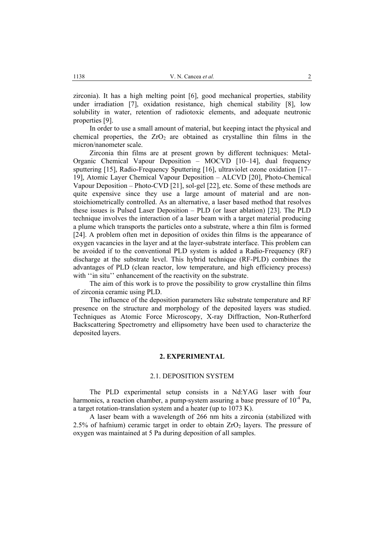zirconia). It has a high melting point [6], good mechanical properties, stability under irradiation [7], oxidation resistance, high chemical stability [8], low solubility in water, retention of radiotoxic elements, and adequate neutronic properties [9].

In order to use a small amount of material, but keeping intact the physical and chemical properties, the  $ZrO<sub>2</sub>$  are obtained as crystalline thin films in the micron/nanometer scale.

Zirconia thin films are at present grown by different techniques: Metal-Organic Chemical Vapour Deposition – MOCVD [10–14], dual frequency sputtering [15], Radio-Frequency Sputtering [16], ultraviolet ozone oxidation [17– 19], Atomic Layer Chemical Vapour Deposition – ALCVD [20], Photo-Chemical Vapour Deposition – Photo-CVD [21], sol-gel [22], etc. Some of these methods are quite expensive since they use a large amount of material and are nonstoichiometrically controlled. As an alternative, a laser based method that resolves these issues is Pulsed Laser Deposition – PLD (or laser ablation) [23]. The PLD technique involves the interaction of a laser beam with a target material producing a plume which transports the particles onto a substrate, where a thin film is formed [24]. A problem often met in deposition of oxides thin films is the appearance of oxygen vacancies in the layer and at the layer-substrate interface. This problem can be avoided if to the conventional PLD system is added a Radio-Frequency (RF) discharge at the substrate level. This hybrid technique (RF-PLD) combines the advantages of PLD (clean reactor, low temperature, and high efficiency process) with "in situ" enhancement of the reactivity on the substrate.

The aim of this work is to prove the possibility to grow crystalline thin films of zirconia ceramic using PLD.

The influence of the deposition parameters like substrate temperature and RF presence on the structure and morphology of the deposited layers was studied. Techniques as Atomic Force Microscopy, X-ray Diffraction, Non-Rutherford Backscattering Spectrometry and ellipsometry have been used to characterize the deposited layers.

### **2. EXPERIMENTAL**

#### 2.1. DEPOSITION SYSTEM

The PLD experimental setup consists in a Nd:YAG laser with four harmonics, a reaction chamber, a pump-system assuring a base pressure of  $10^{-4}$  Pa. a target rotation-translation system and a heater (up to 1073 K).

A laser beam with a wavelength of 266 nm hits a zirconia (stabilized with 2.5% of hafnium) ceramic target in order to obtain  $ZrO<sub>2</sub>$  layers. The pressure of oxygen was maintained at 5 Pa during deposition of all samples.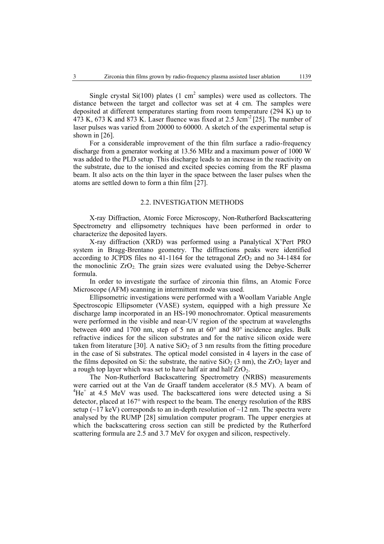Single crystal  $Si(100)$  plates (1 cm<sup>2</sup> samples) were used as collectors. The distance between the target and collector was set at 4 cm. The samples were deposited at different temperatures starting from room temperature (294 K) up to  $473$  K,  $673$  K and  $873$  K. Laser fluence was fixed at 2.5 Jcm<sup>-2</sup> [25]. The number of laser pulses was varied from 20000 to 60000. A sketch of the experimental setup is shown in [26].

For a considerable improvement of the thin film surface a radio-frequency discharge from a generator working at 13.56 MHz and a maximum power of 1000 W was added to the PLD setup. This discharge leads to an increase in the reactivity on the substrate, due to the ionised and excited species coming from the RF plasma beam. It also acts on the thin layer in the space between the laser pulses when the atoms are settled down to form a thin film [27].

## 2.2. INVESTIGATION METHODS

X-ray Diffraction, Atomic Force Microscopy, Non-Rutherford Backscattering Spectrometry and ellipsometry techniques have been performed in order to characterize the deposited layers.

X-ray diffraction (XRD) was performed using a Panalytical X'Pert PRO system in Bragg-Brentano geometry. The diffractions peaks were identified according to JCPDS files no 41-1164 for the tetragonal  $ZrO<sub>2</sub>$  and no 34-1484 for the monoclinic  $ZrO<sub>2</sub>$ . The grain sizes were evaluated using the Debye-Scherrer formula.

In order to investigate the surface of zirconia thin films, an Atomic Force Microscope (AFM) scanning in intermittent mode was used.

Ellipsometric investigations were performed with a Woollam Variable Angle Spectroscopic Ellipsometer (VASE) system, equipped with a high pressure Xe discharge lamp incorporated in an HS-190 monochromator. Optical measurements were performed in the visible and near-UV region of the spectrum at wavelengths between 400 and 1700 nm, step of 5 nm at 60° and 80° incidence angles. Bulk refractive indices for the silicon substrates and for the native silicon oxide were taken from literature [30]. A native  $SiO<sub>2</sub>$  of 3 nm results from the fitting procedure in the case of Si substrates. The optical model consisted in 4 layers in the case of the films deposited on Si: the substrate, the native  $SiO<sub>2</sub>$  (3 nm), the  $ZrO<sub>2</sub>$  layer and a rough top layer which was set to have half air and half  $ZrO<sub>2</sub>$ .

The Non-Rutherford Backscattering Spectrometry (NRBS) measurements were carried out at the Van de Graaff tandem accelerator (8.5 MV). A beam of  ${}^{4}$ He<sup>+</sup> at 4.5 MeV was used. The backscattered ions were detected using a Si detector, placed at 167° with respect to the beam. The energy resolution of the RBS setup ( $\sim$ 17 keV) corresponds to an in-depth resolution of  $\sim$ 12 nm. The spectra were analysed by the RUMP [28] simulation computer program. The upper energies at which the backscattering cross section can still be predicted by the Rutherford scattering formula are 2.5 and 3.7 MeV for oxygen and silicon, respectively.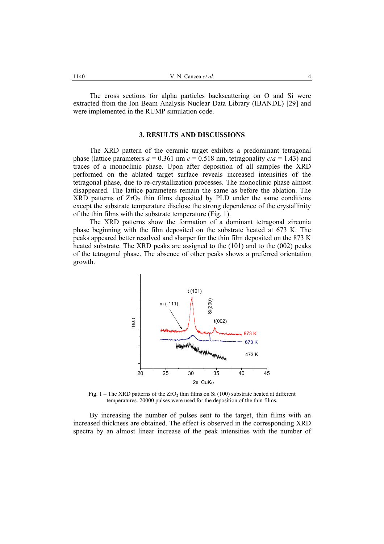The cross sections for alpha particles backscattering on O and Si were extracted from the Ion Beam Analysis Nuclear Data Library (IBANDL) [29] and were implemented in the RUMP simulation code.

## **3. RESULTS AND DISCUSSIONS**

The XRD pattern of the ceramic target exhibits a predominant tetragonal phase (lattice parameters  $a = 0.361$  nm  $c = 0.518$  nm, tetragonality  $c/a = 1.43$ ) and traces of a monoclinic phase. Upon after deposition of all samples the XRD performed on the ablated target surface reveals increased intensities of the tetragonal phase, due to re-crystallization processes. The monoclinic phase almost disappeared. The lattice parameters remain the same as before the ablation. The  $XRD$  patterns of  $ZrO<sub>2</sub>$  thin films deposited by PLD under the same conditions except the substrate temperature disclose the strong dependence of the crystallinity of the thin films with the substrate temperature (Fig. 1).

The XRD patterns show the formation of a dominant tetragonal zirconia phase beginning with the film deposited on the substrate heated at 673 K. The peaks appeared better resolved and sharper for the thin film deposited on the 873 K heated substrate. The XRD peaks are assigned to the (101) and to the (002) peaks of the tetragonal phase. The absence of other peaks shows a preferred orientation growth.



Fig. 1 – The XRD patterns of the ZrO<sub>2</sub> thin films on Si (100) substrate heated at different temperatures. 20000 pulses were used for the deposition of the thin films.

By increasing the number of pulses sent to the target, thin films with an increased thickness are obtained. The effect is observed in the corresponding XRD spectra by an almost linear increase of the peak intensities with the number of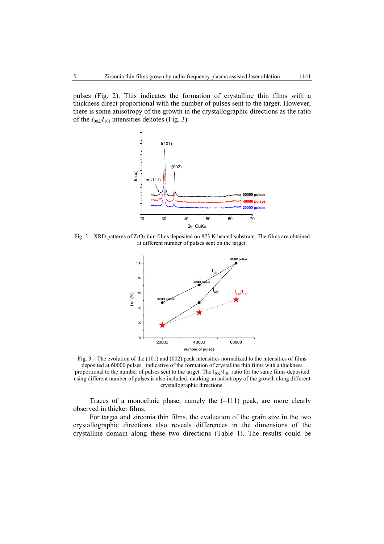pulses (Fig. 2). This indicates the formation of crystalline thin films with a thickness direct proportional with the number of pulses sent to the target. However, there is some anisotropy of the growth in the crystallographic directions as the ratio of the  $I_{002}/I_{101}$  intensities denotes (Fig. 3).



Fig.  $2 - XRD$  patterns of  $ZrO<sub>2</sub>$  thin films deposited on 873 K heated substrate. The films are obtained at different number of pulses sent on the target.



Fig. 3 – The evolution of the (101) and (002) peak intensities normalized to the intensities of films deposited at 60000 pulses, indicative of the formation of crystalline thin films with a thickness proportional to the number of pulses sent to the target. The  $I_{002}/I_{101}$  ratio for the same films deposited using different number of pulses is also included, marking an anisotropy of the growth along different crystallographic directions.

Traces of a monoclinic phase, namely the (–111) peak, are more clearly observed in thicker films.

For target and zirconia thin films, the evaluation of the grain size in the two crystallographic directions also reveals differences in the dimensions of the crystalline domain along these two directions (Table 1). The results could be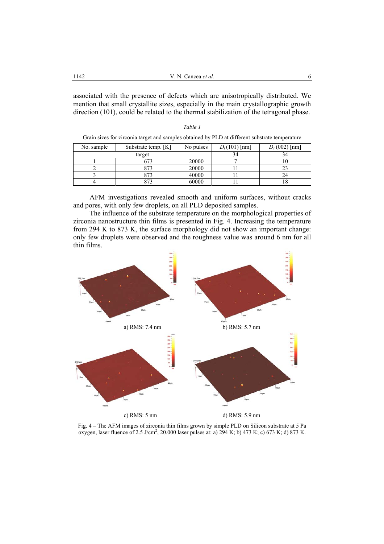associated with the presence of defects which are anisotropically distributed. We mention that small crystallite sizes, especially in the main crystallographic growth direction (101), could be related to the thermal stabilization of the tetragonal phase.

| Oram sizes for zheoma anget and samples obtained by I ED at unferent substrate temperature |                     |           |                 |                 |
|--------------------------------------------------------------------------------------------|---------------------|-----------|-----------------|-----------------|
| No. sample                                                                                 | Substrate temp. [K] | No pulses | $D_t(101)$ [nm] | $D_t(002)$ [nm] |
| target                                                                                     |                     |           |                 |                 |
|                                                                                            | 673                 | 20000     |                 |                 |
|                                                                                            | 873                 | 20000     |                 |                 |
|                                                                                            | 873                 | 40000     |                 | 24              |
|                                                                                            | 373                 | 60000     |                 |                 |

*Table 1* Grain sizes for zirconia target and samples obtained by PLD at different substrate temperature

AFM investigations revealed smooth and uniform surfaces, without cracks and pores, with only few droplets, on all PLD deposited samples.

The influence of the substrate temperature on the morphological properties of zirconia nanostructure thin films is presented in Fig. 4. Increasing the temperature from 294 K to 873 K, the surface morphology did not show an important change: only few droplets were observed and the roughness value was around 6 nm for all thin films.



Fig. 4 – The AFM images of zirconia thin films grown by simple PLD on Silicon substrate at 5 Pa oxygen, laser fluence of 2.5 J/cm<sup>2</sup>, 20.000 laser pulses at: a)  $294$  K; b) 473 K; c) 673 K; d) 873 K.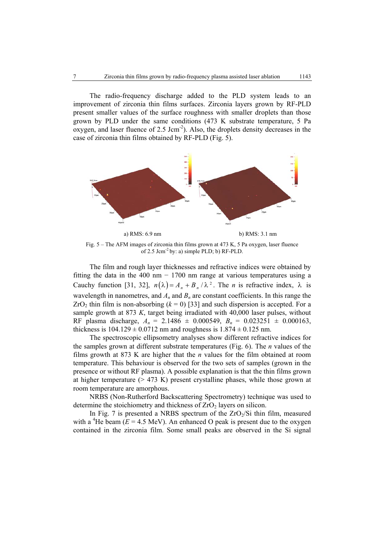The radio-frequency discharge added to the PLD system leads to an improvement of zirconia thin films surfaces. Zirconia layers grown by RF-PLD present smaller values of the surface roughness with smaller droplets than those grown by PLD under the same conditions (473 K substrate temperature, 5 Pa oxygen, and laser fluence of  $2.5 \text{ Jcm}^{-2}$ ). Also, the droplets density decreases in the case of zirconia thin films obtained by RF-PLD (Fig. 5).



Fig. 5 – The AFM images of zirconia thin films grown at 473 K, 5 Pa oxygen, laser fluence of 2.5 Jcm-2 by: a) simple PLD; b) RF-PLD.

The film and rough layer thicknesses and refractive indices were obtained by fitting the data in the 400 nm  $- 1700$  nm range at various temperatures using a Cauchy function [31, 32],  $n(\lambda) = A_n + B_n / \lambda^2$ . The *n* is refractive index,  $\lambda$  is wavelength in nanometres, and  $A_n$  and  $B_n$  are constant coefficients. In this range the  $ZrO<sub>2</sub>$  thin film is non-absorbing ( $k = 0$ ) [33] and such dispersion is accepted. For a sample growth at 873 *K*, target being irradiated with 40,000 laser pulses, without RF plasma discharge,  $A_n = 2.1486 \pm 0.000549$ ,  $B_n = 0.023251 \pm 0.000163$ , thickness is  $104.129 \pm 0.0712$  nm and roughness is  $1.874 \pm 0.125$  nm.

The spectroscopic ellipsometry analyses show different refractive indices for the samples grown at different substrate temperatures (Fig. 6). The *n* values of the films growth at 873 K are higher that the *n* values for the film obtained at room temperature. This behaviour is observed for the two sets of samples (grown in the presence or without RF plasma). A possible explanation is that the thin films grown at higher temperature  $(> 473 K)$  present crystalline phases, while those grown at room temperature are amorphous.

NRBS (Non-Rutherford Backscattering Spectrometry) technique was used to determine the stoichiometry and thickness of  $ZrO<sub>2</sub>$  layers on silicon.

In Fig. 7 is presented a NRBS spectrum of the  $ZrO<sub>2</sub>/Si$  thin film, measured with a <sup>4</sup>He beam ( $E = 4.5$  MeV). An enhanced O peak is present due to the oxygen contained in the zirconia film. Some small peaks are observed in the Si signal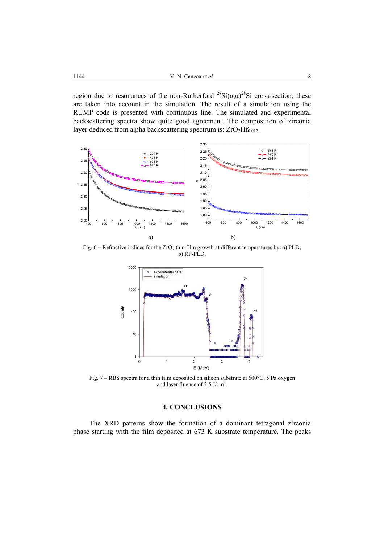region due to resonances of the non-Rutherford  $^{28}Si(\alpha,\alpha)^{28}Si$  cross-section; these are taken into account in the simulation. The result of a simulation using the RUMP code is presented with continuous line. The simulated and experimental backscattering spectra show quite good agreement. The composition of zirconia layer deduced from alpha backscattering spectrum is:  $ZrO<sub>2</sub>Hf<sub>0.012</sub>$ .



Fig.  $6$  – Refractive indices for the  $ZrO<sub>2</sub>$  thin film growth at different temperatures by: a) PLD; b) RF-PLD.



Fig. 7 – RBS spectra for a thin film deposited on silicon substrate at 600°C, 5 Pa oxygen and laser fluence of 2.5 J/cm<sup>2</sup>.

# **4. CONCLUSIONS**

The XRD patterns show the formation of a dominant tetragonal zirconia phase starting with the film deposited at 673 K substrate temperature. The peaks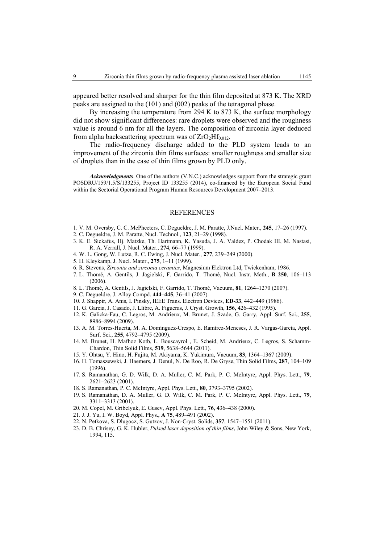appeared better resolved and sharper for the thin film deposited at 873 K. The XRD peaks are assigned to the (101) and (002) peaks of the tetragonal phase.

By increasing the temperature from 294 K to 873 K, the surface morphology did not show significant differences: rare droplets were observed and the roughness value is around 6 nm for all the layers. The composition of zirconia layer deduced from alpha backscattering spectrum was of  $ZrO<sub>2</sub>Hf<sub>0.012</sub>$ .

The radio-frequency discharge added to the PLD system leads to an improvement of the zirconia thin films surfaces: smaller roughness and smaller size of droplets than in the case of thin films grown by PLD only.

*Acknowledgments*. One of the authors (V.N.C.) acknowledges support from the strategic grant POSDRU/159/1.5/S/133255, Project ID 133255 (2014), co-financed by the European Social Fund within the Sectorial Operational Program Human Resources Development 2007–2013.

#### REFERENCES

- 1. V. M. Oversby, C. C. McPheeters, C. Degueldre, J. M. Paratte, J.Nucl. Mater., **245**, 17–26 (1997).
- 2. C. Degueldre, J. M. Paratte, Nucl. Technol., **123**, 21–29 (1998).
- 3. K. E. Sickafus, Hj. Matzke, Th. Hartmann, K. Yasuda, J. A. Valdez, P. Chodak III, M. Nastasi, R. A. Verrall, J. Nucl. Mater., **274**, 66–77 (1999).
- 4. W. L. Gong, W. Lutze, R. C. Ewing, J. Nucl. Mater., **277**, 239–249 (2000).
- 5. H. Kleykamp, J. Nucl. Mater., **275**, 1–11 (1999).
- 6. R. Stevens, *Zirconia and zirconia ceramics*, Magnesium Elektron Ltd, Twickenham, 1986.
- 7. L. Thomé, A. Gentils, J. Jagielski, F. Garrido, T. Thomé, Nucl. Instr. Meth., **B 250**, 106–113 (2006).
- 8. L. Thomé, A. Gentils, J. Jagielski, F. Garrido, T. Thomé, Vacuum, **81**, 1264–1270 (2007).
- 9. C. Degueldre, J. Alloy Compd. **444–445**, 36–41 (2007).
- 10. J. Shappir, A. Anis, I. Pinsky, IEEE Trans. Electron Devices, **ED-33**, 442–449 (1986).
- 11. G. Garcia, J. Casado, J. Llibre, A. Figueras, J. Cryst. Growth, **156**, 426–432 (1995).
- 12. K. Galicka-Fau, C. Legros, M. Andrieux, M. Brunet, J. Szade, G. Garry, Appl. Surf. Sci., **255**, 8986–8994 (2009).
- 13. A. M. Torres-Huerta, M. A. Domínguez-Crespo, E. Ramírez-Meneses, J. R. Vargas-García, Appl. Surf. Sci., **255**, 4792–4795 (2009).
- 14. M. Brunet, H. Mafhoz Kotb, L. Bouscayrol , E. Scheid, M. Andrieux, C. Legros, S. Schamm-Chardon, Thin Solid Films, **519**, 5638–5644 (2011).
- 15. Y. Ohtsu, Y. Hino, H. Fujita, M. Akiyama, K. Yukimura, Vacuum, **83**, 1364–1367 (2009).
- 16. H. Tomaszewski, J. Haemers, J. Denul, N. De Roo, R. De Gryse, Thin Solid Films, **287**, 104–109 (1996).
- 17. S. Ramanathan, G. D. Wilk, D. A. Muller, C. M. Park, P. C. McIntyre, Appl. Phys. Lett., **79**, 2621–2623 (2001).
- 18. S. Ramanathan, P. C. McIntyre, Appl. Phys. Lett., **80**, 3793–3795 (2002).
- 19. S. Ramanathan, D. A. Muller, G. D. Wilk, C. M. Park, P. C. McIntyre, Appl. Phys. Lett., **79**, 3311–3313 (2001).
- 20. M. Copel, M. Gribelyuk, E. Gusev, Appl. Phys. Lett., **76**, 436–438 (2000).
- 21. J. J. Yu, I. W. Boyd, Appl. Phys., **A 75**, 489–491 (2002).
- 22. N. Petkova, S. Dlugocz, S. Gutzov, J. Non-Cryst. Solids, **357**, 1547–1551 (2011).
- 23. D. B. Chrisey, G. K. Hubler, *Pulsed laser deposition of thin films*, John Wiley & Sons, New York, 1994, 115.